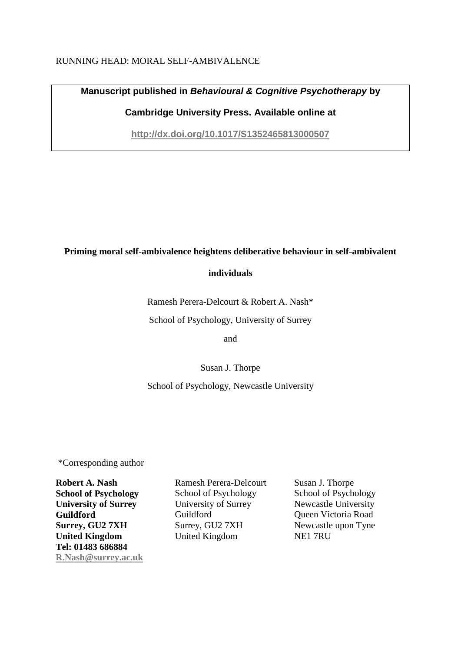## RUNNING HEAD: MORAL SELF-AMBIVALENCE

**Manuscript published in** *Behavioural & Cognitive Psychotherapy* **by** 

**Cambridge University Press. Available online at** 

**<http://dx.doi.org/10.1017/S1352465813000507>**

### **Priming moral self-ambivalence heightens deliberative behaviour in self-ambivalent**

## **individuals**

Ramesh Perera-Delcourt & Robert A. Nash\*

School of Psychology, University of Surrey

and

Susan J. Thorpe

## School of Psychology, Newcastle University

\*Corresponding author

**Robert A. Nash School of Psychology University of Surrey Guildford Surrey, GU2 7XH United Kingdom Tel: 01483 686884 [R.Nash@surrey.ac.uk](mailto:R.Nash@surrey.ac.uk)** Ramesh Perera-Delcourt School of Psychology University of Surrey Guildford Surrey, GU2 7XH United Kingdom

Susan J. Thorpe School of Psychology Newcastle University Queen Victoria Road Newcastle upon Tyne NE1 7RU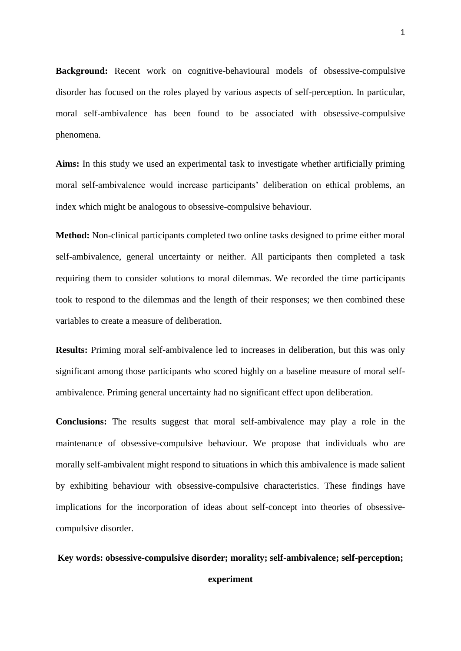**Background:** Recent work on cognitive-behavioural models of obsessive-compulsive disorder has focused on the roles played by various aspects of self-perception. In particular, moral self-ambivalence has been found to be associated with obsessive-compulsive phenomena.

**Aims:** In this study we used an experimental task to investigate whether artificially priming moral self-ambivalence would increase participants' deliberation on ethical problems, an index which might be analogous to obsessive-compulsive behaviour.

**Method:** Non-clinical participants completed two online tasks designed to prime either moral self-ambivalence, general uncertainty or neither. All participants then completed a task requiring them to consider solutions to moral dilemmas. We recorded the time participants took to respond to the dilemmas and the length of their responses; we then combined these variables to create a measure of deliberation.

**Results:** Priming moral self-ambivalence led to increases in deliberation, but this was only significant among those participants who scored highly on a baseline measure of moral selfambivalence. Priming general uncertainty had no significant effect upon deliberation.

**Conclusions:** The results suggest that moral self-ambivalence may play a role in the maintenance of obsessive-compulsive behaviour. We propose that individuals who are morally self-ambivalent might respond to situations in which this ambivalence is made salient by exhibiting behaviour with obsessive-compulsive characteristics. These findings have implications for the incorporation of ideas about self-concept into theories of obsessivecompulsive disorder.

#### **Key words: obsessive-compulsive disorder; morality; self-ambivalence; self-perception;**

**experiment**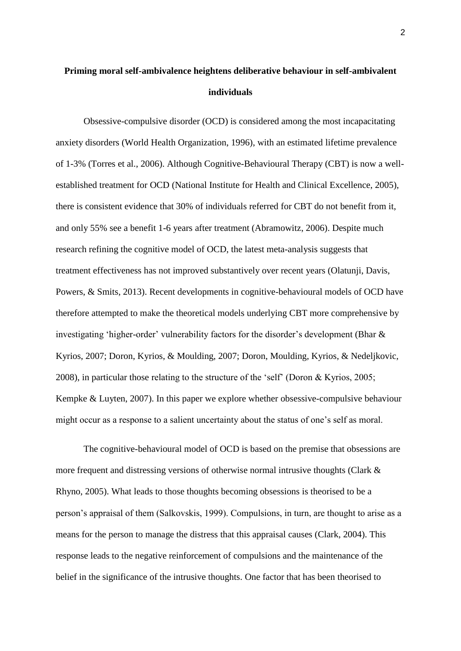# **Priming moral self-ambivalence heightens deliberative behaviour in self-ambivalent individuals**

Obsessive-compulsive disorder (OCD) is considered among the most incapacitating anxiety disorders (World Health Organization, 1996), with an estimated lifetime prevalence of 1-3% (Torres et al., 2006). Although Cognitive-Behavioural Therapy (CBT) is now a wellestablished treatment for OCD (National Institute for Health and Clinical Excellence, 2005), there is consistent evidence that 30% of individuals referred for CBT do not benefit from it, and only 55% see a benefit 1-6 years after treatment (Abramowitz, 2006). Despite much research refining the cognitive model of OCD, the latest meta-analysis suggests that treatment effectiveness has not improved substantively over recent years (Olatunji, Davis, Powers, & Smits, 2013). Recent developments in cognitive-behavioural models of OCD have therefore attempted to make the theoretical models underlying CBT more comprehensive by investigating 'higher-order' vulnerability factors for the disorder's development (Bhar & Kyrios, 2007; Doron, Kyrios, & Moulding, 2007; Doron, Moulding, Kyrios, & Nedeljkovic*,*  2008), in particular those relating to the structure of the 'self' (Doron & Kyrios, 2005; Kempke & Luyten, 2007). In this paper we explore whether obsessive-compulsive behaviour might occur as a response to a salient uncertainty about the status of one's self as moral.

The cognitive-behavioural model of OCD is based on the premise that obsessions are more frequent and distressing versions of otherwise normal intrusive thoughts (Clark & Rhyno, 2005). What leads to those thoughts becoming obsessions is theorised to be a person's appraisal of them (Salkovskis, 1999). Compulsions, in turn, are thought to arise as a means for the person to manage the distress that this appraisal causes (Clark, 2004). This response leads to the negative reinforcement of compulsions and the maintenance of the belief in the significance of the intrusive thoughts. One factor that has been theorised to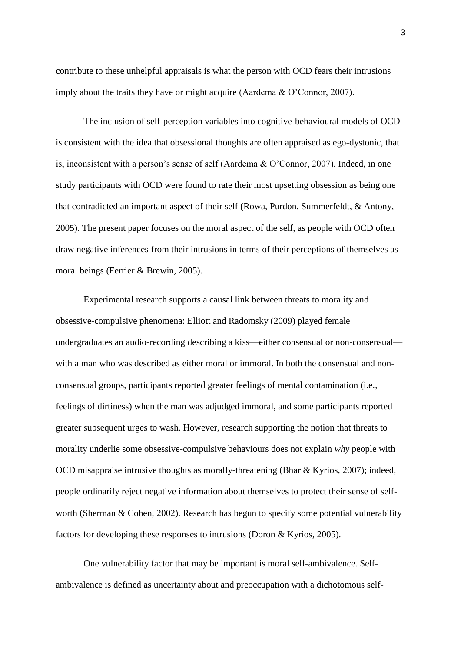contribute to these unhelpful appraisals is what the person with OCD fears their intrusions imply about the traits they have or might acquire (Aardema & O'Connor, 2007).

The inclusion of self-perception variables into cognitive-behavioural models of OCD is consistent with the idea that obsessional thoughts are often appraised as ego-dystonic, that is, inconsistent with a person's sense of self (Aardema & O'Connor, 2007). Indeed, in one study participants with OCD were found to rate their most upsetting obsession as being one that contradicted an important aspect of their self (Rowa, Purdon, Summerfeldt, & Antony, 2005). The present paper focuses on the moral aspect of the self, as people with OCD often draw negative inferences from their intrusions in terms of their perceptions of themselves as moral beings (Ferrier & Brewin, 2005).

Experimental research supports a causal link between threats to morality and obsessive-compulsive phenomena: Elliott and Radomsky (2009) played female undergraduates an audio-recording describing a kiss—either consensual or non-consensual with a man who was described as either moral or immoral. In both the consensual and nonconsensual groups, participants reported greater feelings of mental contamination (i.e., feelings of dirtiness) when the man was adjudged immoral, and some participants reported greater subsequent urges to wash. However, research supporting the notion that threats to morality underlie some obsessive-compulsive behaviours does not explain *why* people with OCD misappraise intrusive thoughts as morally-threatening (Bhar & Kyrios, 2007); indeed, people ordinarily reject negative information about themselves to protect their sense of selfworth (Sherman & Cohen, 2002). Research has begun to specify some potential vulnerability factors for developing these responses to intrusions (Doron & Kyrios, 2005).

One vulnerability factor that may be important is moral self-ambivalence. Selfambivalence is defined as uncertainty about and preoccupation with a dichotomous self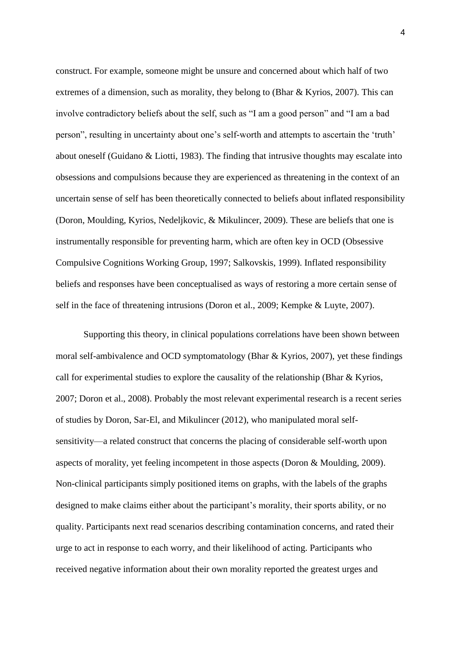construct. For example, someone might be unsure and concerned about which half of two extremes of a dimension, such as morality, they belong to (Bhar & Kyrios, 2007). This can involve contradictory beliefs about the self, such as "I am a good person" and "I am a bad person", resulting in uncertainty about one's self-worth and attempts to ascertain the 'truth' about oneself (Guidano & Liotti, 1983). The finding that intrusive thoughts may escalate into obsessions and compulsions because they are experienced as threatening in the context of an uncertain sense of self has been theoretically connected to beliefs about inflated responsibility (Doron, Moulding, Kyrios, Nedeljkovic, & Mikulincer, 2009). These are beliefs that one is instrumentally responsible for preventing harm, which are often key in OCD (Obsessive Compulsive Cognitions Working Group, 1997; Salkovskis, 1999). Inflated responsibility beliefs and responses have been conceptualised as ways of restoring a more certain sense of self in the face of threatening intrusions (Doron et al., 2009; Kempke & Luyte, 2007).

Supporting this theory, in clinical populations correlations have been shown between moral self-ambivalence and OCD symptomatology (Bhar & Kyrios, 2007), yet these findings call for experimental studies to explore the causality of the relationship (Bhar  $&$  Kyrios, 2007; Doron et al., 2008). Probably the most relevant experimental research is a recent series of studies by Doron, Sar-El, and Mikulincer (2012), who manipulated moral selfsensitivity—a related construct that concerns the placing of considerable self-worth upon aspects of morality, yet feeling incompetent in those aspects (Doron & Moulding, 2009). Non-clinical participants simply positioned items on graphs, with the labels of the graphs designed to make claims either about the participant's morality, their sports ability, or no quality. Participants next read scenarios describing contamination concerns, and rated their urge to act in response to each worry, and their likelihood of acting. Participants who received negative information about their own morality reported the greatest urges and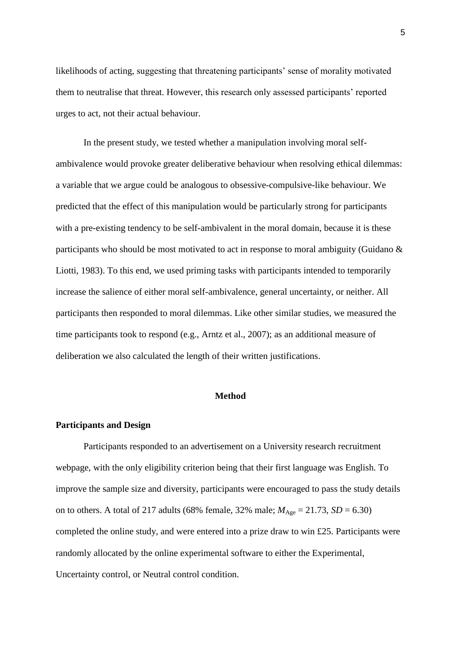likelihoods of acting, suggesting that threatening participants' sense of morality motivated them to neutralise that threat. However, this research only assessed participants' reported urges to act, not their actual behaviour.

In the present study, we tested whether a manipulation involving moral selfambivalence would provoke greater deliberative behaviour when resolving ethical dilemmas: a variable that we argue could be analogous to obsessive-compulsive-like behaviour. We predicted that the effect of this manipulation would be particularly strong for participants with a pre-existing tendency to be self-ambivalent in the moral domain, because it is these participants who should be most motivated to act in response to moral ambiguity (Guidano & Liotti, 1983). To this end, we used priming tasks with participants intended to temporarily increase the salience of either moral self-ambivalence, general uncertainty, or neither. All participants then responded to moral dilemmas. Like other similar studies, we measured the time participants took to respond (e.g., Arntz et al., 2007); as an additional measure of deliberation we also calculated the length of their written justifications.

#### **Method**

#### **Participants and Design**

Participants responded to an advertisement on a University research recruitment webpage, with the only eligibility criterion being that their first language was English. To improve the sample size and diversity, participants were encouraged to pass the study details on to others. A total of 217 adults (68% female, 32% male;  $M_{\text{Age}} = 21.73$ ,  $SD = 6.30$ ) completed the online study, and were entered into a prize draw to win £25. Participants were randomly allocated by the online experimental software to either the Experimental, Uncertainty control, or Neutral control condition.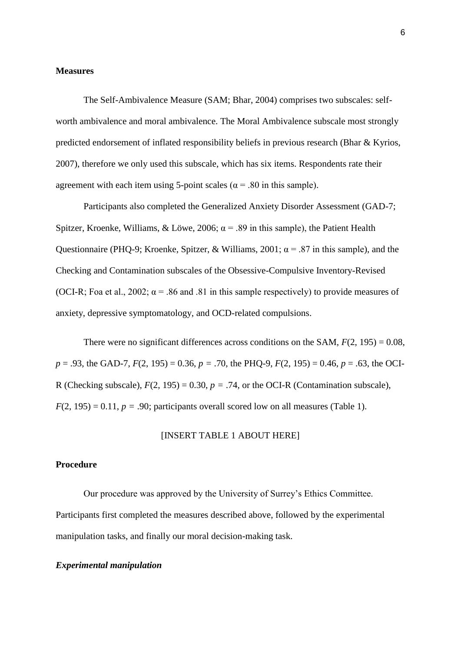#### **Measures**

The Self-Ambivalence Measure (SAM; Bhar, 2004) comprises two subscales: selfworth ambivalence and moral ambivalence. The Moral Ambivalence subscale most strongly predicted endorsement of inflated responsibility beliefs in previous research (Bhar & Kyrios, 2007), therefore we only used this subscale, which has six items. Respondents rate their agreement with each item using 5-point scales ( $\alpha$  = .80 in this sample).

Participants also completed the Generalized Anxiety Disorder Assessment (GAD-7; Spitzer, Kroenke, Williams, & Löwe, 2006;  $\alpha$  = .89 in this sample), the Patient Health Questionnaire (PHQ-9; Kroenke, Spitzer, & Williams, 2001;  $\alpha$  = .87 in this sample), and the Checking and Contamination subscales of the Obsessive-Compulsive Inventory-Revised (OCI-R; Foa et al., 2002;  $\alpha$  = .86 and .81 in this sample respectively) to provide measures of anxiety, depressive symptomatology, and OCD-related compulsions.

There were no significant differences across conditions on the SAM,  $F(2, 195) = 0.08$ , *p* = .93, the GAD-7, *F*(2, 195) = 0.36, *p =* .70, the PHQ-9, *F*(2, 195) = 0.46, *p* = .63, the OCI-R (Checking subscale),  $F(2, 195) = 0.30$ ,  $p = .74$ , or the OCI-R (Contamination subscale),  $F(2, 195) = 0.11$ ,  $p = .90$ ; participants overall scored low on all measures (Table 1).

#### [INSERT TABLE 1 ABOUT HERE]

### **Procedure**

Our procedure was approved by the University of Surrey's Ethics Committee. Participants first completed the measures described above, followed by the experimental manipulation tasks, and finally our moral decision-making task.

#### *Experimental manipulation*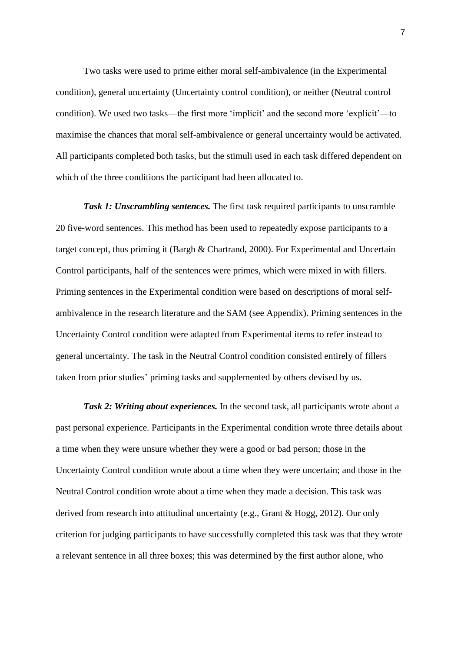Two tasks were used to prime either moral self-ambivalence (in the Experimental condition), general uncertainty (Uncertainty control condition), or neither (Neutral control condition). We used two tasks—the first more 'implicit' and the second more 'explicit'—to maximise the chances that moral self-ambivalence or general uncertainty would be activated. All participants completed both tasks, but the stimuli used in each task differed dependent on which of the three conditions the participant had been allocated to.

*Task 1: Unscrambling sentences.* The first task required participants to unscramble 20 five-word sentences. This method has been used to repeatedly expose participants to a target concept, thus priming it (Bargh & Chartrand, 2000). For Experimental and Uncertain Control participants, half of the sentences were primes, which were mixed in with fillers. Priming sentences in the Experimental condition were based on descriptions of moral selfambivalence in the research literature and the SAM (see Appendix). Priming sentences in the Uncertainty Control condition were adapted from Experimental items to refer instead to general uncertainty*.* The task in the Neutral Control condition consisted entirely of fillers taken from prior studies' priming tasks and supplemented by others devised by us*.*

*Task 2: Writing about experiences.* In the second task, all participants wrote about a past personal experience. Participants in the Experimental condition wrote three details about a time when they were unsure whether they were a good or bad person; those in the Uncertainty Control condition wrote about a time when they were uncertain; and those in the Neutral Control condition wrote about a time when they made a decision. This task was derived from research into attitudinal uncertainty (e.g., Grant & Hogg, 2012). Our only criterion for judging participants to have successfully completed this task was that they wrote a relevant sentence in all three boxes; this was determined by the first author alone, who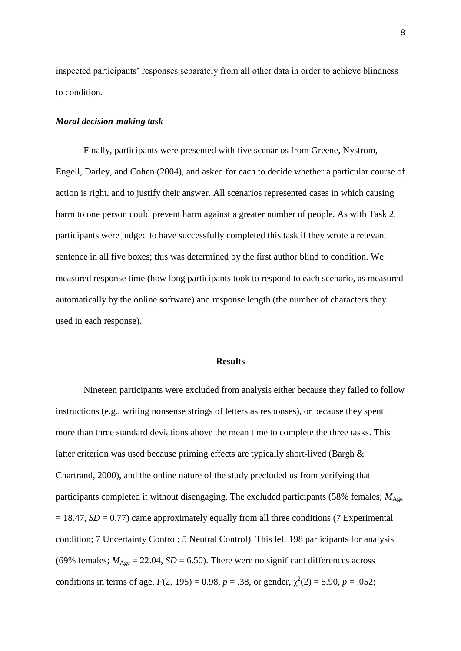inspected participants' responses separately from all other data in order to achieve blindness to condition.

#### *Moral decision-making task*

Finally, participants were presented with five scenarios from Greene, Nystrom, Engell, Darley, and Cohen (2004), and asked for each to decide whether a particular course of action is right, and to justify their answer. All scenarios represented cases in which causing harm to one person could prevent harm against a greater number of people. As with Task 2, participants were judged to have successfully completed this task if they wrote a relevant sentence in all five boxes; this was determined by the first author blind to condition. We measured response time (how long participants took to respond to each scenario, as measured automatically by the online software) and response length (the number of characters they used in each response).

#### **Results**

Nineteen participants were excluded from analysis either because they failed to follow instructions (e.g., writing nonsense strings of letters as responses), or because they spent more than three standard deviations above the mean time to complete the three tasks. This latter criterion was used because priming effects are typically short-lived (Bargh & Chartrand, 2000), and the online nature of the study precluded us from verifying that participants completed it without disengaging. The excluded participants (58% females;  $M_{\text{Age}}$  $= 18.47$ ,  $SD = 0.77$ ) came approximately equally from all three conditions (7 Experimental condition; 7 Uncertainty Control; 5 Neutral Control). This left 198 participants for analysis (69% females;  $M_{\text{Age}} = 22.04$ ,  $SD = 6.50$ ). There were no significant differences across conditions in terms of age,  $F(2, 195) = 0.98$ ,  $p = .38$ , or gender,  $\chi^2(2) = 5.90$ ,  $p = .052$ ;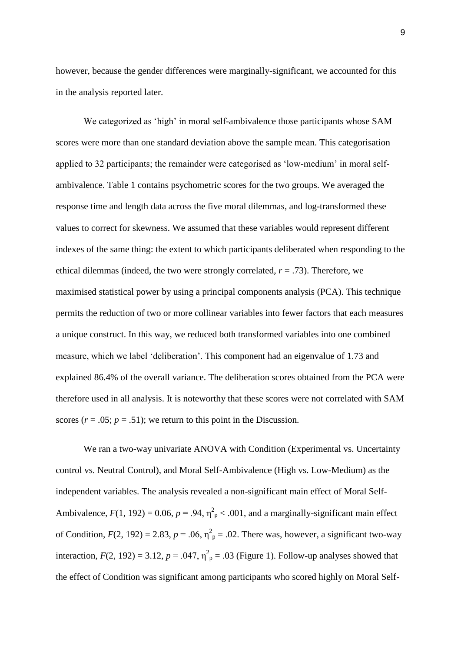however, because the gender differences were marginally-significant, we accounted for this in the analysis reported later.

We categorized as 'high' in moral self-ambivalence those participants whose SAM scores were more than one standard deviation above the sample mean. This categorisation applied to 32 participants; the remainder were categorised as 'low-medium' in moral selfambivalence. Table 1 contains psychometric scores for the two groups. We averaged the response time and length data across the five moral dilemmas, and log-transformed these values to correct for skewness. We assumed that these variables would represent different indexes of the same thing: the extent to which participants deliberated when responding to the ethical dilemmas (indeed, the two were strongly correlated, *r* = .73). Therefore, we maximised statistical power by using a principal components analysis (PCA). This technique permits the reduction of two or more collinear variables into fewer factors that each measures a unique construct. In this way, we reduced both transformed variables into one combined measure, which we label 'deliberation'. This component had an eigenvalue of 1.73 and explained 86.4% of the overall variance. The deliberation scores obtained from the PCA were therefore used in all analysis. It is noteworthy that these scores were not correlated with SAM scores  $(r = .05; p = .51)$ ; we return to this point in the Discussion.

We ran a two-way univariate ANOVA with Condition (Experimental vs. Uncertainty control vs. Neutral Control), and Moral Self-Ambivalence (High vs. Low-Medium) as the independent variables. The analysis revealed a non-significant main effect of Moral Self-Ambivalence,  $F(1, 192) = 0.06$ ,  $p = .94$ ,  $\eta^2$ <sub>p</sub> < .001, and a marginally-significant main effect of Condition,  $F(2, 192) = 2.83$ ,  $p = .06$ ,  $\eta^2$ <sub>p</sub> = .02. There was, however, a significant two-way interaction,  $F(2, 192) = 3.12$ ,  $p = .047$ ,  $\eta_p^2 = .03$  (Figure 1). Follow-up analyses showed that the effect of Condition was significant among participants who scored highly on Moral Self-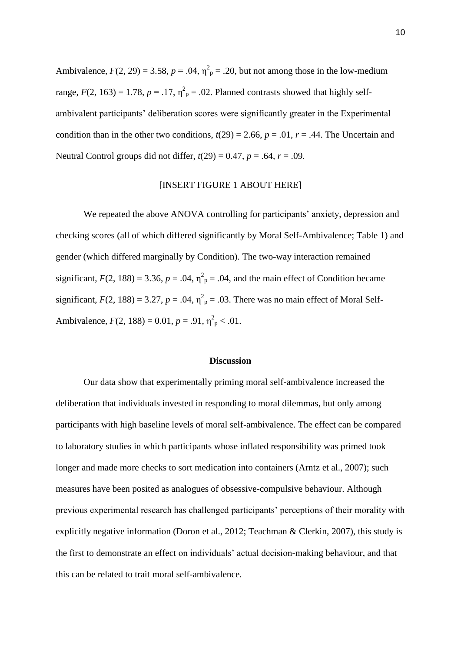Ambivalence,  $F(2, 29) = 3.58$ ,  $p = .04$ ,  $\eta^2$ <sub>p</sub> = .20, but not among those in the low-medium range,  $F(2, 163) = 1.78$ ,  $p = .17$ ,  $\eta_p^2 = .02$ . Planned contrasts showed that highly selfambivalent participants' deliberation scores were significantly greater in the Experimental condition than in the other two conditions,  $t(29) = 2.66$ ,  $p = .01$ ,  $r = .44$ . The Uncertain and Neutral Control groups did not differ,  $t(29) = 0.47$ ,  $p = .64$ ,  $r = .09$ .

#### [INSERT FIGURE 1 ABOUT HERE]

We repeated the above ANOVA controlling for participants' anxiety, depression and checking scores (all of which differed significantly by Moral Self-Ambivalence; Table 1) and gender (which differed marginally by Condition). The two-way interaction remained significant,  $F(2, 188) = 3.36$ ,  $p = .04$ ,  $\eta^2$ <sub>p</sub> = .04, and the main effect of Condition became significant,  $F(2, 188) = 3.27$ ,  $p = .04$ ,  $\eta_p^2 = .03$ . There was no main effect of Moral Self-Ambivalence,  $F(2, 188) = 0.01$ ,  $p = .91$ ,  $\eta_p^2 < .01$ .

#### **Discussion**

Our data show that experimentally priming moral self-ambivalence increased the deliberation that individuals invested in responding to moral dilemmas, but only among participants with high baseline levels of moral self-ambivalence. The effect can be compared to laboratory studies in which participants whose inflated responsibility was primed took longer and made more checks to sort medication into containers (Arntz et al., 2007); such measures have been posited as analogues of obsessive-compulsive behaviour. Although previous experimental research has challenged participants' perceptions of their morality with explicitly negative information (Doron et al., 2012; Teachman & Clerkin, 2007), this study is the first to demonstrate an effect on individuals' actual decision-making behaviour, and that this can be related to trait moral self-ambivalence.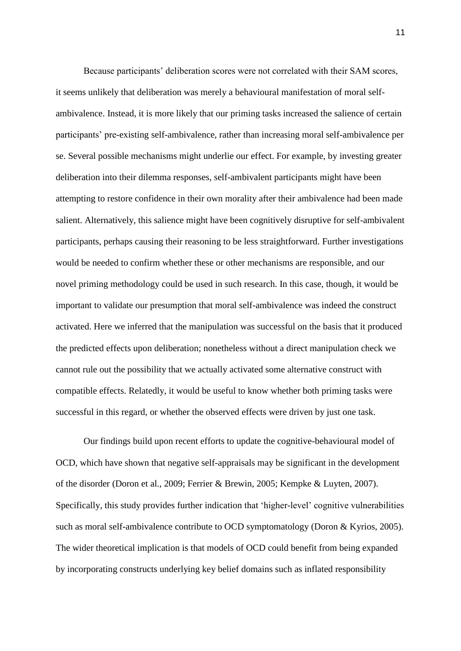Because participants' deliberation scores were not correlated with their SAM scores, it seems unlikely that deliberation was merely a behavioural manifestation of moral selfambivalence. Instead, it is more likely that our priming tasks increased the salience of certain participants' pre-existing self-ambivalence, rather than increasing moral self-ambivalence per se. Several possible mechanisms might underlie our effect. For example, by investing greater deliberation into their dilemma responses, self-ambivalent participants might have been attempting to restore confidence in their own morality after their ambivalence had been made salient. Alternatively, this salience might have been cognitively disruptive for self-ambivalent participants, perhaps causing their reasoning to be less straightforward. Further investigations would be needed to confirm whether these or other mechanisms are responsible, and our novel priming methodology could be used in such research. In this case, though, it would be important to validate our presumption that moral self-ambivalence was indeed the construct activated. Here we inferred that the manipulation was successful on the basis that it produced the predicted effects upon deliberation; nonetheless without a direct manipulation check we cannot rule out the possibility that we actually activated some alternative construct with compatible effects. Relatedly, it would be useful to know whether both priming tasks were successful in this regard, or whether the observed effects were driven by just one task.

Our findings build upon recent efforts to update the cognitive-behavioural model of OCD, which have shown that negative self-appraisals may be significant in the development of the disorder (Doron et al., 2009; Ferrier & Brewin, 2005; Kempke & Luyten, 2007). Specifically, this study provides further indication that 'higher-level' cognitive vulnerabilities such as moral self-ambivalence contribute to OCD symptomatology (Doron & Kyrios, 2005). The wider theoretical implication is that models of OCD could benefit from being expanded by incorporating constructs underlying key belief domains such as inflated responsibility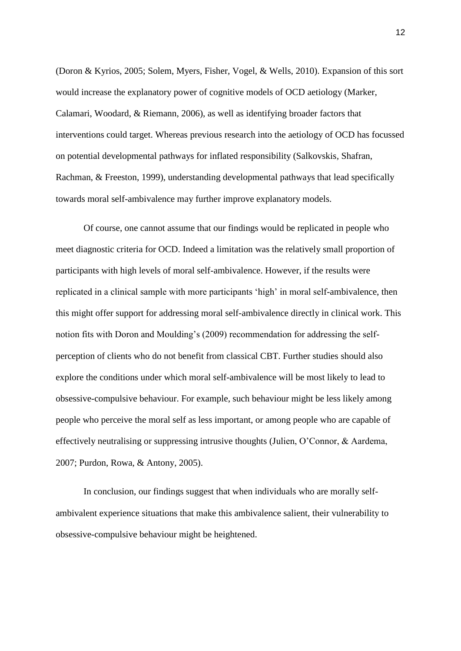(Doron & Kyrios, 2005; Solem, Myers, Fisher, Vogel, & Wells, 2010). Expansion of this sort would increase the explanatory power of cognitive models of OCD aetiology (Marker, Calamari, Woodard, & Riemann, 2006), as well as identifying broader factors that interventions could target. Whereas previous research into the aetiology of OCD has focussed on potential developmental pathways for inflated responsibility (Salkovskis*,* Shafran, Rachman, & Freeston, 1999), understanding developmental pathways that lead specifically towards moral self-ambivalence may further improve explanatory models.

Of course, one cannot assume that our findings would be replicated in people who meet diagnostic criteria for OCD. Indeed a limitation was the relatively small proportion of participants with high levels of moral self-ambivalence. However, if the results were replicated in a clinical sample with more participants 'high' in moral self-ambivalence, then this might offer support for addressing moral self-ambivalence directly in clinical work. This notion fits with Doron and Moulding's (2009) recommendation for addressing the selfperception of clients who do not benefit from classical CBT. Further studies should also explore the conditions under which moral self-ambivalence will be most likely to lead to obsessive-compulsive behaviour. For example, such behaviour might be less likely among people who perceive the moral self as less important, or among people who are capable of effectively neutralising or suppressing intrusive thoughts (Julien, O'Connor, & Aardema, 2007; Purdon, Rowa, & Antony, 2005).

In conclusion, our findings suggest that when individuals who are morally selfambivalent experience situations that make this ambivalence salient, their vulnerability to obsessive-compulsive behaviour might be heightened.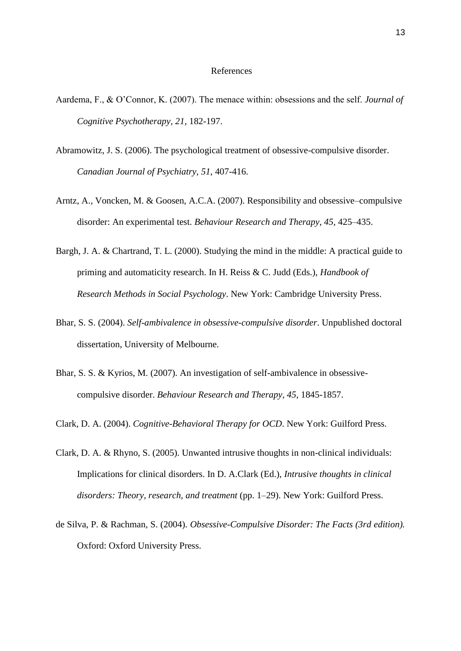#### References

- Aardema, F., & O'Connor, K. (2007). The menace within: obsessions and the self. *Journal of Cognitive Psychotherapy, 21*, 182-197.
- Abramowitz, J. S. (2006). The psychological treatment of obsessive-compulsive disorder. *Canadian Journal of Psychiatry, 51,* 407-416.
- Arntz, A., Voncken, M. & Goosen, A.C.A. (2007). Responsibility and obsessive–compulsive disorder: An experimental test. *Behaviour Research and Therapy, 45,* 425–435.
- Bargh, J. A. & Chartrand, T. L. (2000). Studying the mind in the middle: A practical guide to priming and automaticity research. In H. Reiss & C. Judd (Eds.), *Handbook of Research Methods in Social Psychology*. New York: Cambridge University Press.
- Bhar, S. S. (2004). *Self-ambivalence in obsessive-compulsive disorder*. Unpublished doctoral dissertation, University of Melbourne.
- Bhar, S. S. & Kyrios, M. (2007). An investigation of self-ambivalence in obsessivecompulsive disorder. *Behaviour Research and Therapy, 45,* 1845-1857.
- Clark, D. A. (2004). *Cognitive-Behavioral Therapy for OCD*. New York: Guilford Press.
- Clark, D. A. & Rhyno, S. (2005). Unwanted intrusive thoughts in non-clinical individuals: Implications for clinical disorders. In D. A.Clark (Ed.), *Intrusive thoughts in clinical disorders: Theory, research, and treatment* (pp. 1–29). New York: Guilford Press.
- de Silva, P. & Rachman, S. (2004). *Obsessive-Compulsive Disorder: The Facts (3rd edition).*  Oxford: Oxford University Press.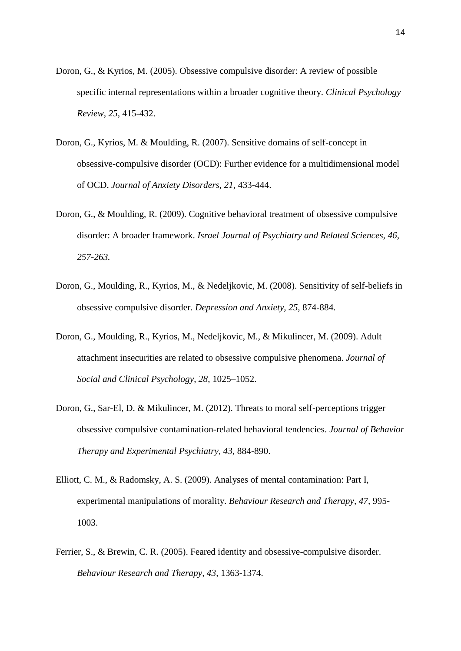- Doron, G., & Kyrios, M. (2005). Obsessive compulsive disorder: A review of possible specific internal representations within a broader cognitive theory. *Clinical Psychology Review, 25,* 415-432.
- Doron, G., Kyrios, M. & Moulding, R. (2007). Sensitive domains of self-concept in obsessive-compulsive disorder (OCD): Further evidence for a multidimensional model of OCD. *Journal of Anxiety Disorders, 21,* 433-444.
- Doron, G., & Moulding, R. (2009). Cognitive behavioral treatment of obsessive compulsive disorder: A broader framework. *Israel Journal of Psychiatry and Related Sciences, 46, 257-263.*
- Doron, G., Moulding, R., Kyrios, M., & Nedeljkovic, M. (2008). Sensitivity of self-beliefs in obsessive compulsive disorder. *Depression and Anxiety, 25,* 874-884.
- Doron, G., Moulding, R., Kyrios, M., Nedeljkovic, M., & Mikulincer, M. (2009). Adult attachment insecurities are related to obsessive compulsive phenomena. *Journal of Social and Clinical Psychology*, *28*, 1025–1052.
- Doron, G., Sar-El, D. & Mikulincer, M. (2012). Threats to moral self-perceptions trigger obsessive compulsive contamination-related behavioral tendencies. *Journal of Behavior Therapy and Experimental Psychiatry, 43,* 884-890.
- Elliott, C. M., & Radomsky, A. S. (2009). Analyses of mental contamination: Part I, experimental manipulations of morality. *Behaviour Research and Therapy, 47,* 995- 1003.
- Ferrier, S., & Brewin, C. R. (2005). Feared identity and obsessive-compulsive disorder. *Behaviour Research and Therapy, 43,* 1363-1374.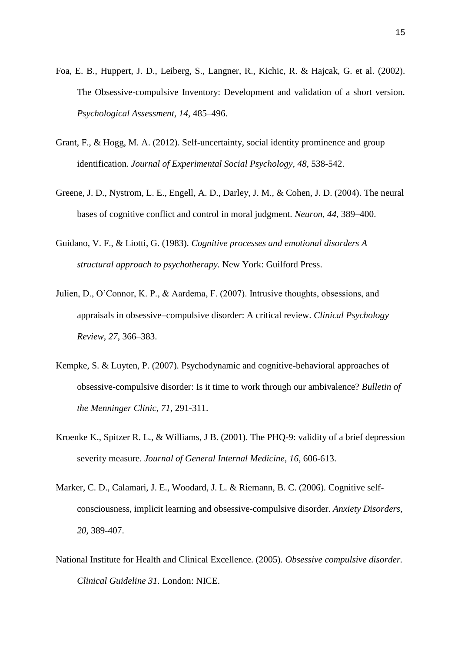- Foa, E. B., Huppert, J. D., Leiberg, S., Langner, R., Kichic, R. & Hajcak, G. et al. (2002). The Obsessive-compulsive Inventory: Development and validation of a short version. *Psychological Assessment, 14*, 485–496.
- Grant, F., & Hogg, M. A. (2012). Self-uncertainty, social identity prominence and group identification. *Journal of Experimental Social Psychology, 48,* 538-542.
- Greene, J. D., Nystrom, L. E., Engell, A. D., Darley, J. M., & Cohen, J. D. (2004). The neural bases of cognitive conflict and control in moral judgment. *Neuron, 44,* 389–400.
- Guidano, V. F., & Liotti, G. (1983). *Cognitive processes and emotional disorders A structural approach to psychotherapy.* New York: Guilford Press.
- Julien, D., O'Connor, K. P., & Aardema, F. (2007). Intrusive thoughts, obsessions, and appraisals in obsessive–compulsive disorder: A critical review. *Clinical Psychology Review, 27*, 366–383.
- Kempke, S. & Luyten, P. (2007). Psychodynamic and cognitive-behavioral approaches of obsessive-compulsive disorder: Is it time to work through our ambivalence? *Bulletin of the Menninger Clinic, 71,* 291-311.
- Kroenke K., Spitzer R. L., & Williams, J B. (2001). The PHQ-9: validity of a brief depression severity measure. *Journal of General Internal Medicine*, *16*, 606-613.
- Marker, C. D., Calamari, J. E., Woodard, J. L. & Riemann, B. C. (2006). Cognitive selfconsciousness, implicit learning and obsessive-compulsive disorder. *Anxiety Disorders, 20,* 389-407.
- National Institute for Health and Clinical Excellence. (2005). *Obsessive compulsive disorder. Clinical Guideline 31.* London: NICE.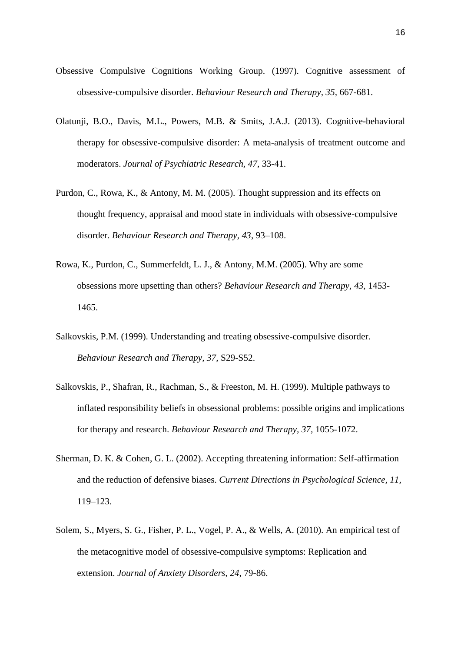- Obsessive Compulsive Cognitions Working Group. (1997). Cognitive assessment of obsessive-compulsive disorder. *Behaviour Research and Therapy, 35,* 667-681.
- Olatunji, B.O., Davis, M.L., Powers, M.B. & Smits, J.A.J. (2013). Cognitive-behavioral therapy for obsessive-compulsive disorder: A meta-analysis of treatment outcome and moderators. *Journal of Psychiatric Research, 47*, 33-41.
- Purdon, C., Rowa, K., & Antony, M. M. (2005). Thought suppression and its effects on thought frequency, appraisal and mood state in individuals with obsessive-compulsive disorder. *Behaviour Research and Therapy, 43*, 93–108.
- Rowa, K., Purdon, C., Summerfeldt, L. J., & Antony, M.M. (2005). Why are some obsessions more upsetting than others? *Behaviour Research and Therapy, 43,* 1453- 1465.
- Salkovskis, P.M. (1999). Understanding and treating obsessive-compulsive disorder. *Behaviour Research and Therapy, 37,* S29-S52.
- Salkovskis, P., Shafran, R., Rachman, S., & Freeston, M. H. (1999). Multiple pathways to inflated responsibility beliefs in obsessional problems: possible origins and implications for therapy and research. *Behaviour Research and Therapy, 37,* 1055-1072.
- Sherman, D. K. & Cohen, G. L. (2002). Accepting threatening information: Self-affirmation and the reduction of defensive biases. *Current Directions in Psychological Science, 11,*  119–123.
- Solem, S., Myers, S. G., Fisher, P. L., Vogel, P. A., & Wells, A. (2010). An empirical test of the metacognitive model of obsessive-compulsive symptoms: Replication and extension. *Journal of Anxiety Disorders, 24*, 79-86.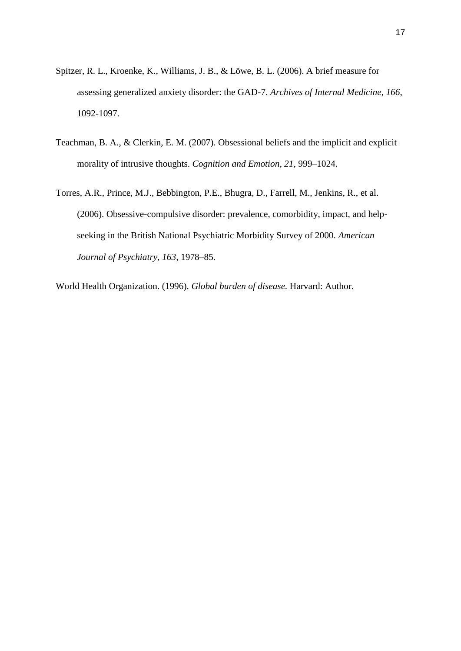- Spitzer, R. L., Kroenke, K., Williams, J. B., & Löwe, B. L. (2006). A brief measure for assessing generalized anxiety disorder: the GAD-7. *Archives of Internal Medicine*, *166*, 1092-1097.
- Teachman, B. A., & Clerkin, E. M. (2007). Obsessional beliefs and the implicit and explicit morality of intrusive thoughts. *Cognition and Emotion, 21*, 999–1024.
- Torres, A.R., Prince, M.J., Bebbington, P.E., Bhugra, D., Farrell, M., Jenkins, R., et al. (2006). Obsessive-compulsive disorder: prevalence, comorbidity, impact, and helpseeking in the British National Psychiatric Morbidity Survey of 2000. *American Journal of Psychiatry, 163,* 1978–85.

World Health Organization. (1996). *Global burden of disease.* Harvard: Author.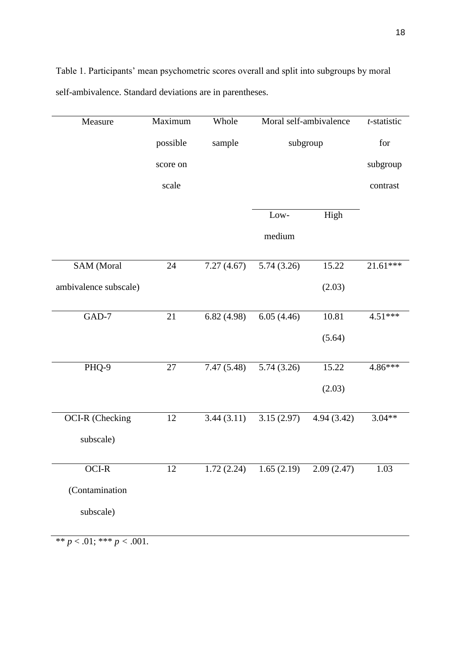| Measure                | Maximum  | Whole      | Moral self-ambivalence |            | t-statistic |
|------------------------|----------|------------|------------------------|------------|-------------|
|                        | possible | sample     | subgroup               |            | for         |
|                        | score on |            |                        |            | subgroup    |
|                        | scale    |            |                        |            | contrast    |
|                        |          |            | Low-                   | High       |             |
|                        |          |            | medium                 |            |             |
|                        |          |            |                        |            |             |
| SAM (Moral             | 24       | 7.27(4.67) | 5.74(3.26)             | 15.22      | $21.61***$  |
| ambivalence subscale)  |          |            |                        | (2.03)     |             |
| $GAD-7$                | $21\,$   | 6.82(4.98) | 6.05(4.46)             | 10.81      | 4.51***     |
|                        |          |            |                        | (5.64)     |             |
| PHQ-9                  | $27\,$   | 7.47(5.48) | 5.74(3.26)             | 15.22      | $4.86***$   |
|                        |          |            |                        | (2.03)     |             |
| <b>OCI-R</b> (Checking | 12       | 3.44(3.11) | 3.15(2.97)             | 4.94(3.42) | $3.04**$    |
| subscale)              |          |            |                        |            |             |
| OCI-R                  | 12       | 1.72(2.24) | 1.65(2.19)             | 2.09(2.47) | 1.03        |
| (Contamination         |          |            |                        |            |             |
| subscale)              |          |            |                        |            |             |
|                        |          |            |                        |            |             |

Table 1. Participants' mean psychometric scores overall and split into subgroups by moral self-ambivalence. Standard deviations are in parentheses.

\*\* *p* < .01; \*\*\* *p <* .001.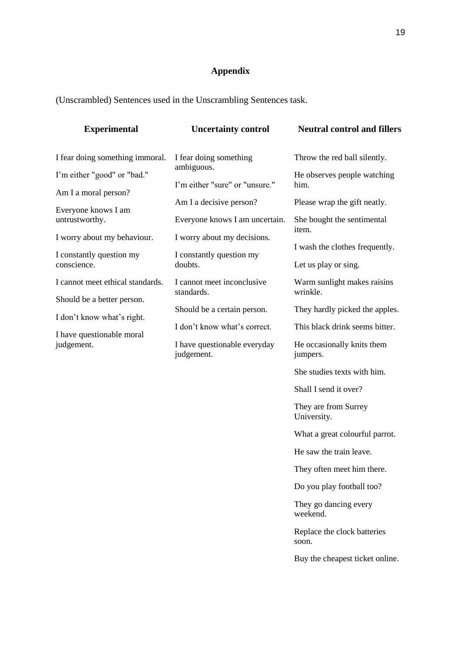# **Appendix**

(Unscrambled) Sentences used in the Unscrambling Sentences task.

| <b>Experimental</b>                                            | <b>Uncertainty control</b>                                                 | <b>Neutral control and fillers</b>                                                                                                                                           |  |
|----------------------------------------------------------------|----------------------------------------------------------------------------|------------------------------------------------------------------------------------------------------------------------------------------------------------------------------|--|
| I fear doing something immoral.                                | I fear doing something                                                     | Throw the red ball silently.<br>He observes people watching<br>him.<br>Please wrap the gift neatly.<br>She bought the sentimental<br>item.<br>I wash the clothes frequently. |  |
| I'm either "good" or "bad."                                    | ambiguous.<br>I'm either "sure" or "unsure."                               |                                                                                                                                                                              |  |
| Am I a moral person?<br>Everyone knows I am<br>untrustworthy.  | Am I a decisive person?<br>Everyone knows I am uncertain.                  |                                                                                                                                                                              |  |
| I worry about my behaviour.                                    | I worry about my decisions.                                                |                                                                                                                                                                              |  |
| I constantly question my<br>conscience.                        | I constantly question my<br>doubts.                                        | Let us play or sing.                                                                                                                                                         |  |
| I cannot meet ethical standards.<br>Should be a better person. | I cannot meet inconclusive<br>standards.                                   | Warm sunlight makes raisins<br>wrinkle.                                                                                                                                      |  |
| I don't know what's right.                                     | Should be a certain person.                                                | They hardly picked the apples.                                                                                                                                               |  |
| I have questionable moral<br>judgement.                        | I don't know what's correct.<br>I have questionable everyday<br>judgement. | This black drink seems bitter.<br>He occasionally knits them<br>jumpers.                                                                                                     |  |
|                                                                |                                                                            | She studies texts with him.                                                                                                                                                  |  |
|                                                                |                                                                            | Shall I send it over?                                                                                                                                                        |  |
|                                                                |                                                                            | They are from Surrey<br>University.                                                                                                                                          |  |
|                                                                |                                                                            | What a great colourful parrot.                                                                                                                                               |  |
|                                                                |                                                                            | He saw the train leave.                                                                                                                                                      |  |
|                                                                |                                                                            | They often meet him there.                                                                                                                                                   |  |
|                                                                |                                                                            | Do you play football too?                                                                                                                                                    |  |
|                                                                |                                                                            | They go dancing every<br>weekend.                                                                                                                                            |  |
|                                                                |                                                                            |                                                                                                                                                                              |  |

Replace the clock batteries soon.

Buy the cheapest ticket online.